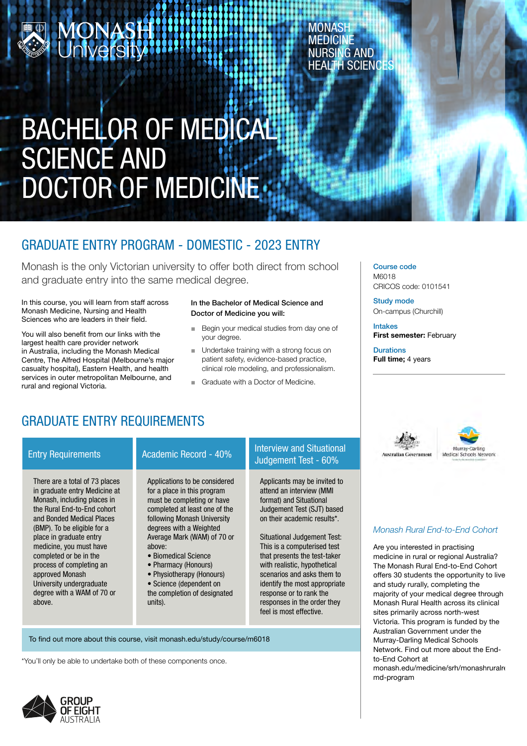# **MONASH**<br>A University

**MONASH MEDICINE** NURSING AND HEALTH SCIENCES

## BACHELOR OF MEDICAL SCIENCE AND DOCTOR OF MEDICINE

## GRADUATE ENTRY PROGRAM - DOMESTIC - 2023 ENTRY

Monash is the only Victorian university to offer both direct from school and graduate entry into the same medical degree.

In this course, you will learn from staff across Monash Medicine, Nursing and Health Sciences who are leaders in their field.

You will also benefit from our links with the largest health care provider network in Australia, including the Monash Medical Centre, The Alfred Hospital (Melbourne's major casualty hospital), Eastern Health, and health services in outer metropolitan Melbourne, and rural and regional Victoria.

#### In the Bachelor of Medical Science and Doctor of Medicine you will:

- Begin your medical studies from day one of your degree. ■
- Undertake training with a strong focus on patient safety, evidence-based practice, clinical role modeling, and professionalism.
- Graduate with a Doctor of Medicine.

Course code M6018 CRICOS code: 0101541

Study mode On-campus (Churchill)

Intakes First semester: February

**Durations** Full time; 4 years

**Instralian Covernment** 

## GRADUATE ENTRY REQUIREMENTS

There are a total of 73 places in graduate entry Medicine at Monash, including places in the Rural End-to-End cohort and Bonded Medical Places (BMP). To be eligible for a place in graduate entry medicine, you must have completed or be in the process of completing an approved Monash University undergraduate degree with a WAM of 70 or above.

## Entry Requirements Academic Record - 40% Interview and Situational

Applications to be considered for a place in this program must be completing or have completed at least one of the following Monash University degrees with a Weighted Average Mark (WAM) of 70 or above:

- Biomedical Science
- Pharmacy (Honours)
- Physiotherapy (Honours)

• Science (dependent on the completion of designated units).

To find out more about this course, visit monash.edu/study/course/m6018

\*You'll only be able to undertake both of these components once.



Judgement Test - 60% Applicants may be invited to attend an interview (MMI format) and Situational Judgement Test (SJT) based

Situational Judgement Test: This is a computerised test that presents the test-taker with realistic, hypothetical scenarios and asks them to identify the most appropriate response or to rank the responses in the order they feel is most effective.

on their academic results\*.

#### *Monash Rural End-to-End Cohort*

urray-Darling Medical Schools Network

Are you interested in practising medicine in rural or regional Australia? The Monash Rural End-to-End Cohort offers 30 students the opportunity to live and study rurally, completing the majority of your medical degree through Monash Rural Health across its clinical sites primarily across north-west Victoria. This program is funded by the Australian Government under the Murray-Darling Medical Schools Network. Find out more about the Endto-End Cohort at monash.edu/medicine/srh/monashruralre md-program